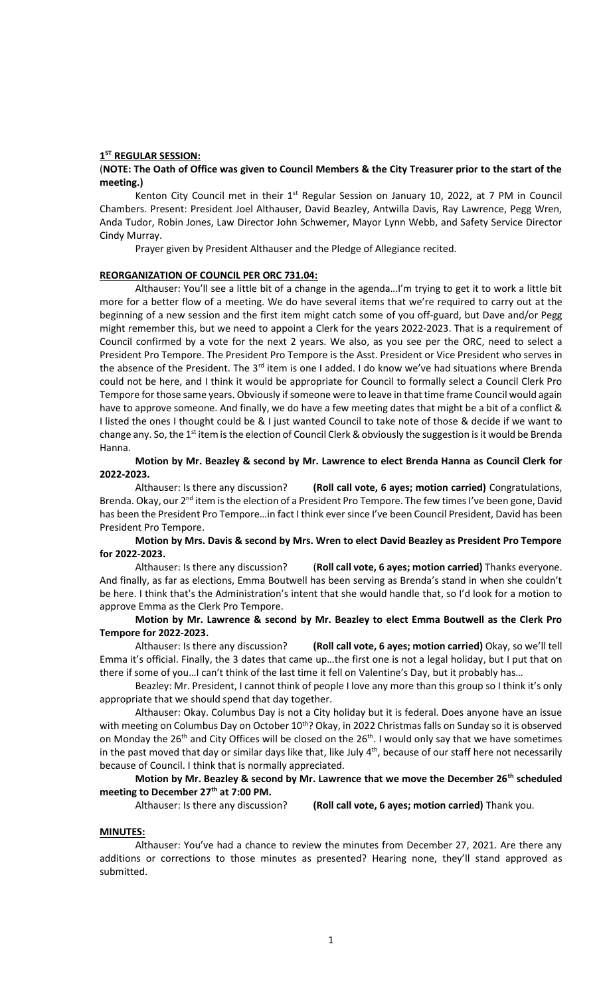### **1 ST REGULAR SESSION:**

### (**NOTE: The Oath of Office was given to Council Members & the City Treasurer prior to the start of the meeting.)**

Kenton City Council met in their  $1<sup>st</sup>$  Regular Session on January 10, 2022, at 7 PM in Council Chambers. Present: President Joel Althauser, David Beazley, Antwilla Davis, Ray Lawrence, Pegg Wren, Anda Tudor, Robin Jones, Law Director John Schwemer, Mayor Lynn Webb, and Safety Service Director Cindy Murray.

Prayer given by President Althauser and the Pledge of Allegiance recited.

#### **REORGANIZATION OF COUNCIL PER ORC 731.04:**

Althauser: You'll see a little bit of a change in the agenda…I'm trying to get it to work a little bit more for a better flow of a meeting. We do have several items that we're required to carry out at the beginning of a new session and the first item might catch some of you off-guard, but Dave and/or Pegg might remember this, but we need to appoint a Clerk for the years 2022-2023. That is a requirement of Council confirmed by a vote for the next 2 years. We also, as you see per the ORC, need to select a President Pro Tempore. The President Pro Tempore is the Asst. President or Vice President who serves in the absence of the President. The 3<sup>rd</sup> item is one I added. I do know we've had situations where Brenda could not be here, and I think it would be appropriate for Council to formally select a Council Clerk Pro Tempore for those same years. Obviously if someone were to leave in that time frame Council would again have to approve someone. And finally, we do have a few meeting dates that might be a bit of a conflict & I listed the ones I thought could be & I just wanted Council to take note of those & decide if we want to change any. So, the 1<sup>st</sup> item is the election of Council Clerk & obviously the suggestion is it would be Brenda Hanna.

### **Motion by Mr. Beazley & second by Mr. Lawrence to elect Brenda Hanna as Council Clerk for 2022-2023.**

Althauser: Is there any discussion? **(Roll call vote, 6 ayes; motion carried)** Congratulations, Brenda. Okay, our 2<sup>nd</sup> item is the election of a President Pro Tempore. The few times I've been gone, David has been the President Pro Tempore…in fact I think ever since I've been Council President, David has been President Pro Tempore.

## **Motion by Mrs. Davis & second by Mrs. Wren to elect David Beazley as President Pro Tempore for 2022-2023.**

Althauser: Is there any discussion? (**Roll call vote, 6 ayes; motion carried)** Thanks everyone. And finally, as far as elections, Emma Boutwell has been serving as Brenda's stand in when she couldn't be here. I think that's the Administration's intent that she would handle that, so I'd look for a motion to approve Emma as the Clerk Pro Tempore.

### **Motion by Mr. Lawrence & second by Mr. Beazley to elect Emma Boutwell as the Clerk Pro Tempore for 2022-2023.**

Althauser: Is there any discussion? **(Roll call vote, 6 ayes; motion carried)** Okay, so we'll tell Emma it's official. Finally, the 3 dates that came up…the first one is not a legal holiday, but I put that on there if some of you…I can't think of the last time it fell on Valentine's Day, but it probably has…

Beazley: Mr. President, I cannot think of people I love any more than this group so I think it's only appropriate that we should spend that day together.

Althauser: Okay. Columbus Day is not a City holiday but it is federal. Does anyone have an issue with meeting on Columbus Day on October 10<sup>th</sup>? Okay, in 2022 Christmas falls on Sunday so it is observed on Monday the 26<sup>th</sup> and City Offices will be closed on the 26<sup>th</sup>. I would only say that we have sometimes in the past moved that day or similar days like that, like July 4<sup>th</sup>, because of our staff here not necessarily because of Council. I think that is normally appreciated.

### **Motion by Mr. Beazley & second by Mr. Lawrence that we move the December 26th scheduled meeting to December 27th at 7:00 PM.**

Althauser: Is there any discussion? **(Roll call vote, 6 ayes; motion carried)** Thank you.

#### **MINUTES:**

Althauser: You've had a chance to review the minutes from December 27, 2021. Are there any additions or corrections to those minutes as presented? Hearing none, they'll stand approved as submitted.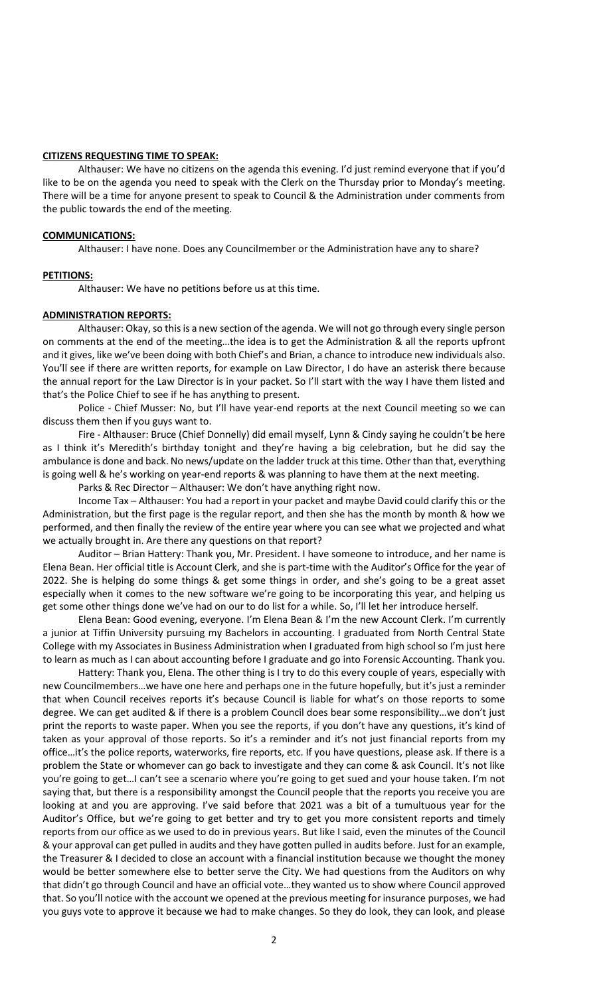### **CITIZENS REQUESTING TIME TO SPEAK:**

Althauser: We have no citizens on the agenda this evening. I'd just remind everyone that if you'd like to be on the agenda you need to speak with the Clerk on the Thursday prior to Monday's meeting. There will be a time for anyone present to speak to Council & the Administration under comments from the public towards the end of the meeting.

#### **COMMUNICATIONS:**

Althauser: I have none. Does any Councilmember or the Administration have any to share?

#### **PETITIONS:**

Althauser: We have no petitions before us at this time.

## **ADMINISTRATION REPORTS:**

Althauser: Okay, so this is a new section of the agenda. We will not go through every single person on comments at the end of the meeting…the idea is to get the Administration & all the reports upfront and it gives, like we've been doing with both Chief's and Brian, a chance to introduce new individuals also. You'll see if there are written reports, for example on Law Director, I do have an asterisk there because the annual report for the Law Director is in your packet. So I'll start with the way I have them listed and that's the Police Chief to see if he has anything to present.

Police - Chief Musser: No, but I'll have year-end reports at the next Council meeting so we can discuss them then if you guys want to.

Fire - Althauser: Bruce (Chief Donnelly) did email myself, Lynn & Cindy saying he couldn't be here as I think it's Meredith's birthday tonight and they're having a big celebration, but he did say the ambulance is done and back. No news/update on the ladder truck at this time. Other than that, everything is going well & he's working on year-end reports & was planning to have them at the next meeting.

Parks & Rec Director – Althauser: We don't have anything right now.

Income Tax – Althauser: You had a report in your packet and maybe David could clarify this or the Administration, but the first page is the regular report, and then she has the month by month & how we performed, and then finally the review of the entire year where you can see what we projected and what we actually brought in. Are there any questions on that report?

Auditor – Brian Hattery: Thank you, Mr. President. I have someone to introduce, and her name is Elena Bean. Her official title is Account Clerk, and she is part-time with the Auditor's Office for the year of 2022. She is helping do some things & get some things in order, and she's going to be a great asset especially when it comes to the new software we're going to be incorporating this year, and helping us get some other things done we've had on our to do list for a while. So, I'll let her introduce herself.

Elena Bean: Good evening, everyone. I'm Elena Bean & I'm the new Account Clerk. I'm currently a junior at Tiffin University pursuing my Bachelors in accounting. I graduated from North Central State College with my Associates in Business Administration when I graduated from high school so I'm just here to learn as much as I can about accounting before I graduate and go into Forensic Accounting. Thank you.

Hattery: Thank you, Elena. The other thing is I try to do this every couple of years, especially with new Councilmembers…we have one here and perhaps one in the future hopefully, but it's just a reminder that when Council receives reports it's because Council is liable for what's on those reports to some degree. We can get audited & if there is a problem Council does bear some responsibility…we don't just print the reports to waste paper. When you see the reports, if you don't have any questions, it's kind of taken as your approval of those reports. So it's a reminder and it's not just financial reports from my office…it's the police reports, waterworks, fire reports, etc. If you have questions, please ask. If there is a problem the State or whomever can go back to investigate and they can come & ask Council. It's not like you're going to get…I can't see a scenario where you're going to get sued and your house taken. I'm not saying that, but there is a responsibility amongst the Council people that the reports you receive you are looking at and you are approving. I've said before that 2021 was a bit of a tumultuous year for the Auditor's Office, but we're going to get better and try to get you more consistent reports and timely reports from our office as we used to do in previous years. But like I said, even the minutes of the Council & your approval can get pulled in audits and they have gotten pulled in audits before. Just for an example, the Treasurer & I decided to close an account with a financial institution because we thought the money would be better somewhere else to better serve the City. We had questions from the Auditors on why that didn't go through Council and have an official vote…they wanted us to show where Council approved that. So you'll notice with the account we opened at the previous meeting for insurance purposes, we had you guys vote to approve it because we had to make changes. So they do look, they can look, and please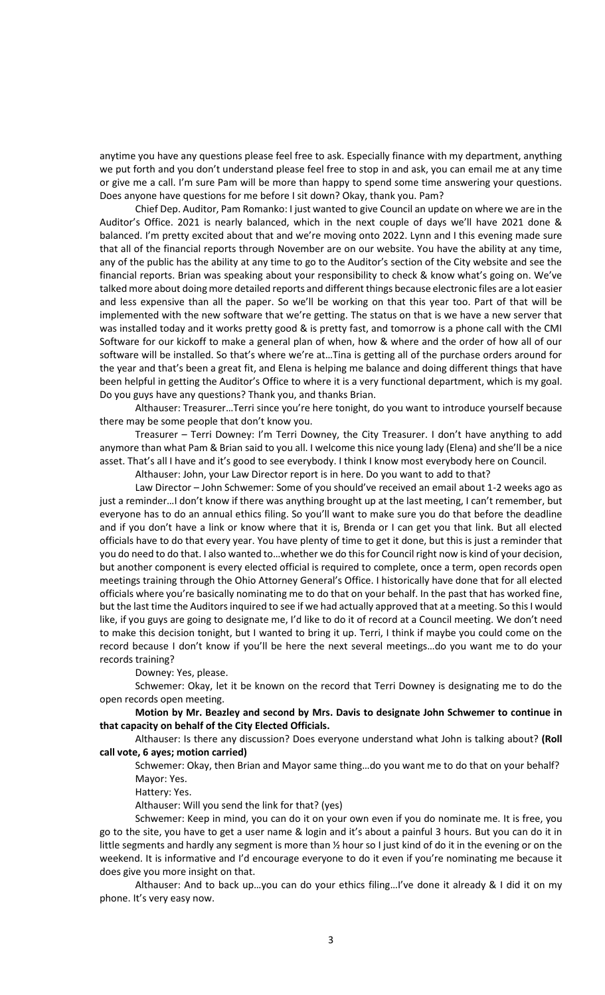anytime you have any questions please feel free to ask. Especially finance with my department, anything we put forth and you don't understand please feel free to stop in and ask, you can email me at any time or give me a call. I'm sure Pam will be more than happy to spend some time answering your questions. Does anyone have questions for me before I sit down? Okay, thank you. Pam?

Chief Dep. Auditor, Pam Romanko: I just wanted to give Council an update on where we are in the Auditor's Office. 2021 is nearly balanced, which in the next couple of days we'll have 2021 done & balanced. I'm pretty excited about that and we're moving onto 2022. Lynn and I this evening made sure that all of the financial reports through November are on our website. You have the ability at any time, any of the public has the ability at any time to go to the Auditor's section of the City website and see the financial reports. Brian was speaking about your responsibility to check & know what's going on. We've talked more about doing more detailed reports and different things because electronic files are a lot easier and less expensive than all the paper. So we'll be working on that this year too. Part of that will be implemented with the new software that we're getting. The status on that is we have a new server that was installed today and it works pretty good & is pretty fast, and tomorrow is a phone call with the CMI Software for our kickoff to make a general plan of when, how & where and the order of how all of our software will be installed. So that's where we're at…Tina is getting all of the purchase orders around for the year and that's been a great fit, and Elena is helping me balance and doing different things that have been helpful in getting the Auditor's Office to where it is a very functional department, which is my goal. Do you guys have any questions? Thank you, and thanks Brian.

Althauser: Treasurer…Terri since you're here tonight, do you want to introduce yourself because there may be some people that don't know you.

Treasurer – Terri Downey: I'm Terri Downey, the City Treasurer. I don't have anything to add anymore than what Pam & Brian said to you all. I welcome this nice young lady (Elena) and she'll be a nice asset. That's all I have and it's good to see everybody. I think I know most everybody here on Council.

Althauser: John, your Law Director report is in here. Do you want to add to that?

Law Director – John Schwemer: Some of you should've received an email about 1-2 weeks ago as just a reminder... I don't know if there was anything brought up at the last meeting, I can't remember, but everyone has to do an annual ethics filing. So you'll want to make sure you do that before the deadline and if you don't have a link or know where that it is, Brenda or I can get you that link. But all elected officials have to do that every year. You have plenty of time to get it done, but this is just a reminder that you do need to do that. I also wanted to…whether we do this for Council right now is kind of your decision, but another component is every elected official is required to complete, once a term, open records open meetings training through the Ohio Attorney General's Office. I historically have done that for all elected officials where you're basically nominating me to do that on your behalf. In the past that has worked fine, but the last time the Auditors inquired to see if we had actually approved that at a meeting. So this I would like, if you guys are going to designate me, I'd like to do it of record at a Council meeting. We don't need to make this decision tonight, but I wanted to bring it up. Terri, I think if maybe you could come on the record because I don't know if you'll be here the next several meetings…do you want me to do your records training?

Downey: Yes, please.

Schwemer: Okay, let it be known on the record that Terri Downey is designating me to do the open records open meeting.

**Motion by Mr. Beazley and second by Mrs. Davis to designate John Schwemer to continue in that capacity on behalf of the City Elected Officials.**

Althauser: Is there any discussion? Does everyone understand what John is talking about? **(Roll call vote, 6 ayes; motion carried)**

Schwemer: Okay, then Brian and Mayor same thing…do you want me to do that on your behalf? Mayor: Yes.

Hattery: Yes.

Althauser: Will you send the link for that? (yes)

Schwemer: Keep in mind, you can do it on your own even if you do nominate me. It is free, you go to the site, you have to get a user name & login and it's about a painful 3 hours. But you can do it in little segments and hardly any segment is more than ½ hour so I just kind of do it in the evening or on the weekend. It is informative and I'd encourage everyone to do it even if you're nominating me because it does give you more insight on that.

Althauser: And to back up…you can do your ethics filing…I've done it already & I did it on my phone. It's very easy now.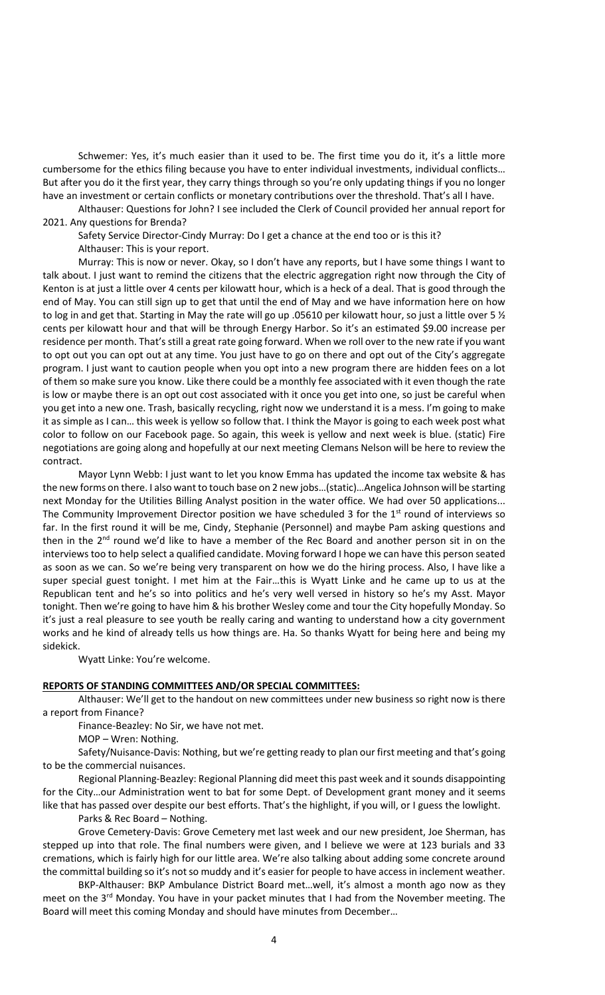Schwemer: Yes, it's much easier than it used to be. The first time you do it, it's a little more cumbersome for the ethics filing because you have to enter individual investments, individual conflicts… But after you do it the first year, they carry things through so you're only updating things if you no longer have an investment or certain conflicts or monetary contributions over the threshold. That's all I have.

Althauser: Questions for John? I see included the Clerk of Council provided her annual report for 2021. Any questions for Brenda?

Safety Service Director-Cindy Murray: Do I get a chance at the end too or is this it? Althauser: This is your report.

Murray: This is now or never. Okay, so I don't have any reports, but I have some things I want to talk about. I just want to remind the citizens that the electric aggregation right now through the City of Kenton is at just a little over 4 cents per kilowatt hour, which is a heck of a deal. That is good through the end of May. You can still sign up to get that until the end of May and we have information here on how to log in and get that. Starting in May the rate will go up .05610 per kilowatt hour, so just a little over 5  $\frac{1}{2}$ cents per kilowatt hour and that will be through Energy Harbor. So it's an estimated \$9.00 increase per residence per month. That's still a great rate going forward. When we roll over to the new rate if you want to opt out you can opt out at any time. You just have to go on there and opt out of the City's aggregate program. I just want to caution people when you opt into a new program there are hidden fees on a lot of them so make sure you know. Like there could be a monthly fee associated with it even though the rate is low or maybe there is an opt out cost associated with it once you get into one, so just be careful when you get into a new one. Trash, basically recycling, right now we understand it is a mess. I'm going to make it as simple as I can… this week is yellow so follow that. I think the Mayor is going to each week post what color to follow on our Facebook page. So again, this week is yellow and next week is blue. (static) Fire negotiations are going along and hopefully at our next meeting Clemans Nelson will be here to review the contract.

Mayor Lynn Webb: I just want to let you know Emma has updated the income tax website & has the new forms on there. I also want to touch base on 2 new jobs…(static)…Angelica Johnson will be starting next Monday for the Utilities Billing Analyst position in the water office. We had over 50 applications... The Community Improvement Director position we have scheduled 3 for the 1<sup>st</sup> round of interviews so far. In the first round it will be me, Cindy, Stephanie (Personnel) and maybe Pam asking questions and then in the  $2<sup>nd</sup>$  round we'd like to have a member of the Rec Board and another person sit in on the interviews too to help select a qualified candidate. Moving forward I hope we can have this person seated as soon as we can. So we're being very transparent on how we do the hiring process. Also, I have like a super special guest tonight. I met him at the Fair…this is Wyatt Linke and he came up to us at the Republican tent and he's so into politics and he's very well versed in history so he's my Asst. Mayor tonight. Then we're going to have him & his brother Wesley come and tour the City hopefully Monday. So it's just a real pleasure to see youth be really caring and wanting to understand how a city government works and he kind of already tells us how things are. Ha. So thanks Wyatt for being here and being my sidekick.

Wyatt Linke: You're welcome.

### **REPORTS OF STANDING COMMITTEES AND/OR SPECIAL COMMITTEES:**

Althauser: We'll get to the handout on new committees under new business so right now is there a report from Finance?

Finance-Beazley: No Sir, we have not met.

MOP – Wren: Nothing.

Safety/Nuisance-Davis: Nothing, but we're getting ready to plan our first meeting and that's going to be the commercial nuisances.

Regional Planning-Beazley: Regional Planning did meet this past week and it sounds disappointing for the City…our Administration went to bat for some Dept. of Development grant money and it seems like that has passed over despite our best efforts. That's the highlight, if you will, or I guess the lowlight.

Parks & Rec Board – Nothing.

Grove Cemetery-Davis: Grove Cemetery met last week and our new president, Joe Sherman, has stepped up into that role. The final numbers were given, and I believe we were at 123 burials and 33 cremations, which is fairly high for our little area. We're also talking about adding some concrete around the committal building so it's not so muddy and it's easier for people to have access in inclement weather.

BKP-Althauser: BKP Ambulance District Board met…well, it's almost a month ago now as they meet on the 3<sup>rd</sup> Monday. You have in your packet minutes that I had from the November meeting. The Board will meet this coming Monday and should have minutes from December…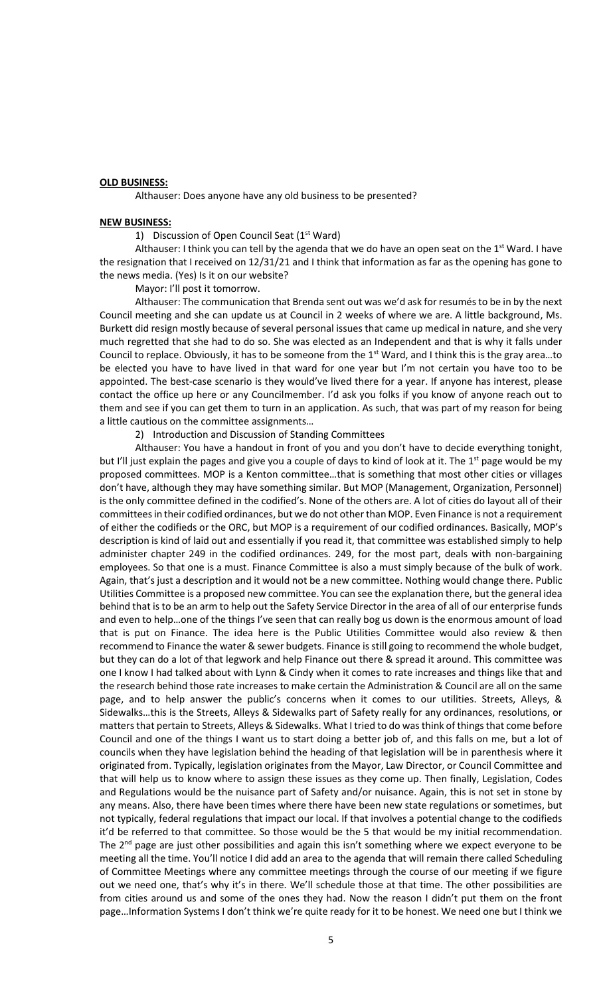### **OLD BUSINESS:**

Althauser: Does anyone have any old business to be presented?

### **NEW BUSINESS:**

### 1) Discussion of Open Council Seat (1<sup>st</sup> Ward)

Althauser: I think you can tell by the agenda that we do have an open seat on the  $1<sup>st</sup>$  Ward. I have the resignation that I received on 12/31/21 and I think that information as far as the opening has gone to the news media. (Yes) Is it on our website?

Mayor: I'll post it tomorrow.

Althauser: The communication that Brenda sent out was we'd ask for resumés to be in by the next Council meeting and she can update us at Council in 2 weeks of where we are. A little background, Ms. Burkett did resign mostly because of several personal issues that came up medical in nature, and she very much regretted that she had to do so. She was elected as an Independent and that is why it falls under Council to replace. Obviously, it has to be someone from the 1<sup>st</sup> Ward, and I think this is the gray area...to be elected you have to have lived in that ward for one year but I'm not certain you have too to be appointed. The best-case scenario is they would've lived there for a year. If anyone has interest, please contact the office up here or any Councilmember. I'd ask you folks if you know of anyone reach out to them and see if you can get them to turn in an application. As such, that was part of my reason for being a little cautious on the committee assignments…

2) Introduction and Discussion of Standing Committees

Althauser: You have a handout in front of you and you don't have to decide everything tonight, but I'll just explain the pages and give you a couple of days to kind of look at it. The 1<sup>st</sup> page would be my proposed committees. MOP is a Kenton committee…that is something that most other cities or villages don't have, although they may have something similar. But MOP (Management, Organization, Personnel) is the only committee defined in the codified's. None of the others are. A lot of cities do layout all of their committees in their codified ordinances, but we do not other than MOP. Even Finance is not a requirement of either the codifieds or the ORC, but MOP is a requirement of our codified ordinances. Basically, MOP's description is kind of laid out and essentially if you read it, that committee was established simply to help administer chapter 249 in the codified ordinances. 249, for the most part, deals with non-bargaining employees. So that one is a must. Finance Committee is also a must simply because of the bulk of work. Again, that's just a description and it would not be a new committee. Nothing would change there. Public Utilities Committee is a proposed new committee. You can see the explanation there, but the general idea behind that is to be an arm to help out the Safety Service Director in the area of all of our enterprise funds and even to help…one of the things I've seen that can really bog us down is the enormous amount of load that is put on Finance. The idea here is the Public Utilities Committee would also review & then recommend to Finance the water & sewer budgets. Finance is still going to recommend the whole budget, but they can do a lot of that legwork and help Finance out there & spread it around. This committee was one I know I had talked about with Lynn & Cindy when it comes to rate increases and things like that and the research behind those rate increases to make certain the Administration & Council are all on the same page, and to help answer the public's concerns when it comes to our utilities. Streets, Alleys, & Sidewalks…this is the Streets, Alleys & Sidewalks part of Safety really for any ordinances, resolutions, or matters that pertain to Streets, Alleys & Sidewalks. What I tried to do was think of things that come before Council and one of the things I want us to start doing a better job of, and this falls on me, but a lot of councils when they have legislation behind the heading of that legislation will be in parenthesis where it originated from. Typically, legislation originates from the Mayor, Law Director, or Council Committee and that will help us to know where to assign these issues as they come up. Then finally, Legislation, Codes and Regulations would be the nuisance part of Safety and/or nuisance. Again, this is not set in stone by any means. Also, there have been times where there have been new state regulations or sometimes, but not typically, federal regulations that impact our local. If that involves a potential change to the codifieds it'd be referred to that committee. So those would be the 5 that would be my initial recommendation. The  $2^{nd}$  page are just other possibilities and again this isn't something where we expect everyone to be meeting all the time. You'll notice I did add an area to the agenda that will remain there called Scheduling of Committee Meetings where any committee meetings through the course of our meeting if we figure out we need one, that's why it's in there. We'll schedule those at that time. The other possibilities are from cities around us and some of the ones they had. Now the reason I didn't put them on the front page…Information Systems I don't think we're quite ready for it to be honest. We need one but I think we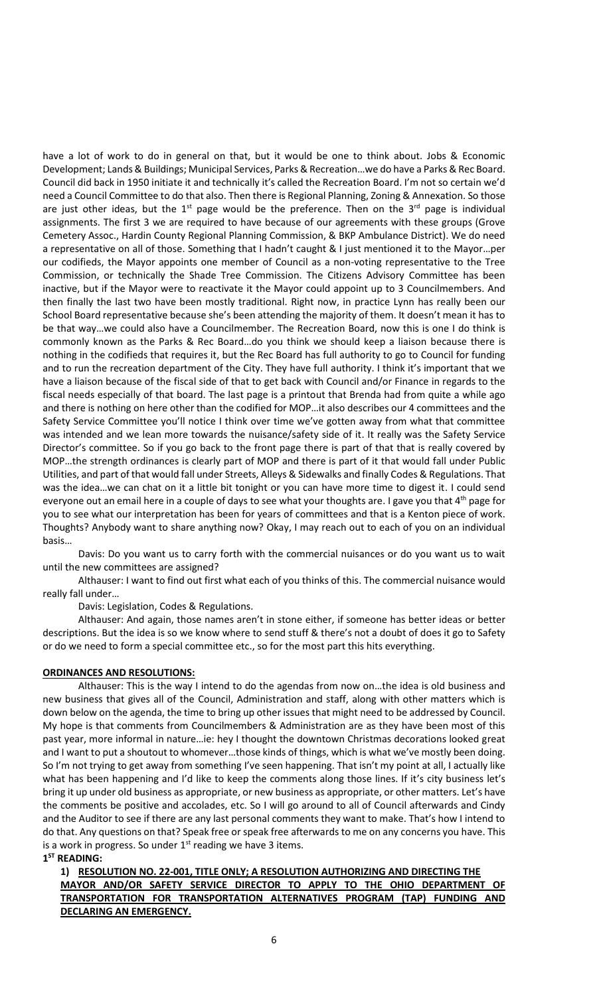have a lot of work to do in general on that, but it would be one to think about. Jobs & Economic Development; Lands & Buildings; Municipal Services, Parks & Recreation…we do have a Parks & Rec Board. Council did back in 1950 initiate it and technically it's called the Recreation Board. I'm not so certain we'd need a Council Committee to do that also. Then there is Regional Planning, Zoning & Annexation. So those are just other ideas, but the  $1<sup>st</sup>$  page would be the preference. Then on the  $3<sup>rd</sup>$  page is individual assignments. The first 3 we are required to have because of our agreements with these groups (Grove Cemetery Assoc., Hardin County Regional Planning Commission, & BKP Ambulance District). We do need a representative on all of those. Something that I hadn't caught & I just mentioned it to the Mayor…per our codifieds, the Mayor appoints one member of Council as a non-voting representative to the Tree Commission, or technically the Shade Tree Commission. The Citizens Advisory Committee has been inactive, but if the Mayor were to reactivate it the Mayor could appoint up to 3 Councilmembers. And then finally the last two have been mostly traditional. Right now, in practice Lynn has really been our School Board representative because she's been attending the majority of them. It doesn't mean it has to be that way…we could also have a Councilmember. The Recreation Board, now this is one I do think is commonly known as the Parks & Rec Board…do you think we should keep a liaison because there is nothing in the codifieds that requires it, but the Rec Board has full authority to go to Council for funding and to run the recreation department of the City. They have full authority. I think it's important that we have a liaison because of the fiscal side of that to get back with Council and/or Finance in regards to the fiscal needs especially of that board. The last page is a printout that Brenda had from quite a while ago and there is nothing on here other than the codified for MOP…it also describes our 4 committees and the Safety Service Committee you'll notice I think over time we've gotten away from what that committee was intended and we lean more towards the nuisance/safety side of it. It really was the Safety Service Director's committee. So if you go back to the front page there is part of that that is really covered by MOP…the strength ordinances is clearly part of MOP and there is part of it that would fall under Public Utilities, and part of that would fall under Streets, Alleys & Sidewalks and finally Codes & Regulations. That was the idea…we can chat on it a little bit tonight or you can have more time to digest it. I could send everyone out an email here in a couple of days to see what your thoughts are. I gave you that 4<sup>th</sup> page for you to see what our interpretation has been for years of committees and that is a Kenton piece of work. Thoughts? Anybody want to share anything now? Okay, I may reach out to each of you on an individual basis…

Davis: Do you want us to carry forth with the commercial nuisances or do you want us to wait until the new committees are assigned?

Althauser: I want to find out first what each of you thinks of this. The commercial nuisance would really fall under…

Davis: Legislation, Codes & Regulations.

Althauser: And again, those names aren't in stone either, if someone has better ideas or better descriptions. But the idea is so we know where to send stuff & there's not a doubt of does it go to Safety or do we need to form a special committee etc., so for the most part this hits everything.

### **ORDINANCES AND RESOLUTIONS:**

Althauser: This is the way I intend to do the agendas from now on…the idea is old business and new business that gives all of the Council, Administration and staff, along with other matters which is down below on the agenda, the time to bring up other issues that might need to be addressed by Council. My hope is that comments from Councilmembers & Administration are as they have been most of this past year, more informal in nature…ie: hey I thought the downtown Christmas decorations looked great and I want to put a shoutout to whomever…those kinds of things, which is what we've mostly been doing. So I'm not trying to get away from something I've seen happening. That isn't my point at all, I actually like what has been happening and I'd like to keep the comments along those lines. If it's city business let's bring it up under old business as appropriate, or new business as appropriate, or other matters. Let's have the comments be positive and accolades, etc. So I will go around to all of Council afterwards and Cindy and the Auditor to see if there are any last personal comments they want to make. That's how I intend to do that. Any questions on that? Speak free or speak free afterwards to me on any concerns you have. This is a work in progress. So under  $1<sup>st</sup>$  reading we have 3 items. **1 ST READING:**

# **1) RESOLUTION NO. 22-001, TITLE ONLY; A RESOLUTION AUTHORIZING AND DIRECTING THE MAYOR AND/OR SAFETY SERVICE DIRECTOR TO APPLY TO THE OHIO DEPARTMENT OF TRANSPORTATION FOR TRANSPORTATION ALTERNATIVES PROGRAM (TAP) FUNDING AND DECLARING AN EMERGENCY.**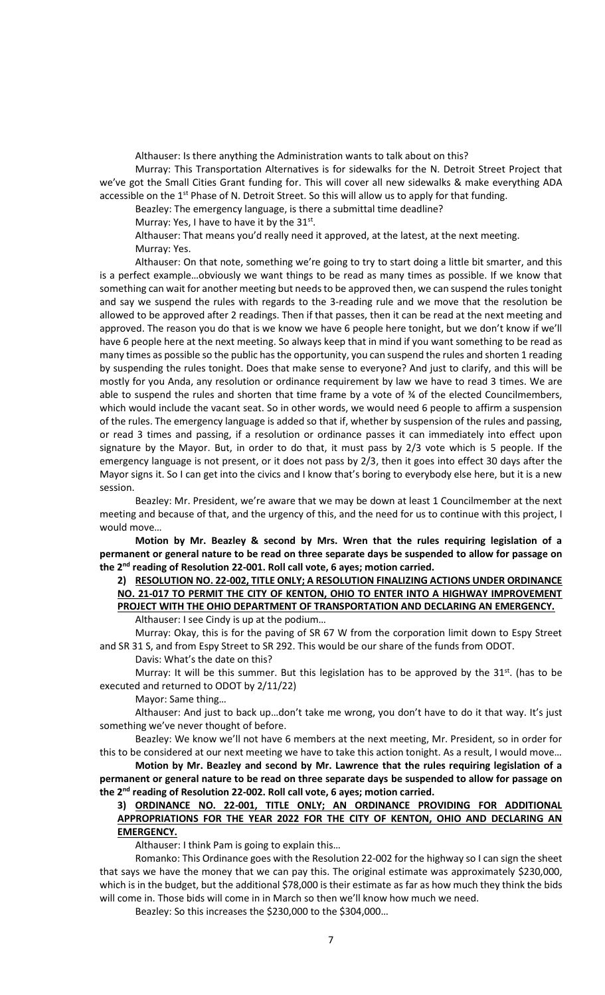Althauser: Is there anything the Administration wants to talk about on this? Murray: This Transportation Alternatives is for sidewalks for the N. Detroit Street Project that we've got the Small Cities Grant funding for. This will cover all new sidewalks & make everything ADA accessible on the 1<sup>st</sup> Phase of N. Detroit Street. So this will allow us to apply for that funding.

Beazley: The emergency language, is there a submittal time deadline?

Murray: Yes, I have to have it by the  $31^{st}$ .

Althauser: That means you'd really need it approved, at the latest, at the next meeting. Murray: Yes.

Althauser: On that note, something we're going to try to start doing a little bit smarter, and this is a perfect example…obviously we want things to be read as many times as possible. If we know that something can wait for another meeting but needs to be approved then, we can suspend the rules tonight and say we suspend the rules with regards to the 3-reading rule and we move that the resolution be allowed to be approved after 2 readings. Then if that passes, then it can be read at the next meeting and approved. The reason you do that is we know we have 6 people here tonight, but we don't know if we'll have 6 people here at the next meeting. So always keep that in mind if you want something to be read as many times as possible so the public has the opportunity, you can suspend the rules and shorten 1 reading by suspending the rules tonight. Does that make sense to everyone? And just to clarify, and this will be mostly for you Anda, any resolution or ordinance requirement by law we have to read 3 times. We are able to suspend the rules and shorten that time frame by a vote of ¾ of the elected Councilmembers, which would include the vacant seat. So in other words, we would need 6 people to affirm a suspension of the rules. The emergency language is added so that if, whether by suspension of the rules and passing, or read 3 times and passing, if a resolution or ordinance passes it can immediately into effect upon signature by the Mayor. But, in order to do that, it must pass by 2/3 vote which is 5 people. If the emergency language is not present, or it does not pass by 2/3, then it goes into effect 30 days after the Mayor signs it. So I can get into the civics and I know that's boring to everybody else here, but it is a new session.

Beazley: Mr. President, we're aware that we may be down at least 1 Councilmember at the next meeting and because of that, and the urgency of this, and the need for us to continue with this project, I would move…

**Motion by Mr. Beazley & second by Mrs. Wren that the rules requiring legislation of a permanent or general nature to be read on three separate days be suspended to allow for passage on the 2nd reading of Resolution 22-001. Roll call vote, 6 ayes; motion carried.** 

# **2) RESOLUTION NO. 22-002, TITLE ONLY; A RESOLUTION FINALIZING ACTIONS UNDER ORDINANCE NO. 21-017 TO PERMIT THE CITY OF KENTON, OHIO TO ENTER INTO A HIGHWAY IMPROVEMENT PROJECT WITH THE OHIO DEPARTMENT OF TRANSPORTATION AND DECLARING AN EMERGENCY.**

Althauser: I see Cindy is up at the podium…

Murray: Okay, this is for the paving of SR 67 W from the corporation limit down to Espy Street and SR 31 S, and from Espy Street to SR 292. This would be our share of the funds from ODOT.

Davis: What's the date on this?

Murray: It will be this summer. But this legislation has to be approved by the  $31<sup>st</sup>$ . (has to be executed and returned to ODOT by 2/11/22)

Mayor: Same thing…

Althauser: And just to back up…don't take me wrong, you don't have to do it that way. It's just something we've never thought of before.

Beazley: We know we'll not have 6 members at the next meeting, Mr. President, so in order for this to be considered at our next meeting we have to take this action tonight. As a result, I would move…

**Motion by Mr. Beazley and second by Mr. Lawrence that the rules requiring legislation of a permanent or general nature to be read on three separate days be suspended to allow for passage on the 2nd reading of Resolution 22-002. Roll call vote, 6 ayes; motion carried.** 

## **3) ORDINANCE NO. 22-001, TITLE ONLY; AN ORDINANCE PROVIDING FOR ADDITIONAL APPROPRIATIONS FOR THE YEAR 2022 FOR THE CITY OF KENTON, OHIO AND DECLARING AN EMERGENCY.**

Althauser: I think Pam is going to explain this…

Romanko: This Ordinance goes with the Resolution 22-002 for the highway so I can sign the sheet that says we have the money that we can pay this. The original estimate was approximately \$230,000, which is in the budget, but the additional \$78,000 is their estimate as far as how much they think the bids will come in. Those bids will come in in March so then we'll know how much we need.

Beazley: So this increases the \$230,000 to the \$304,000…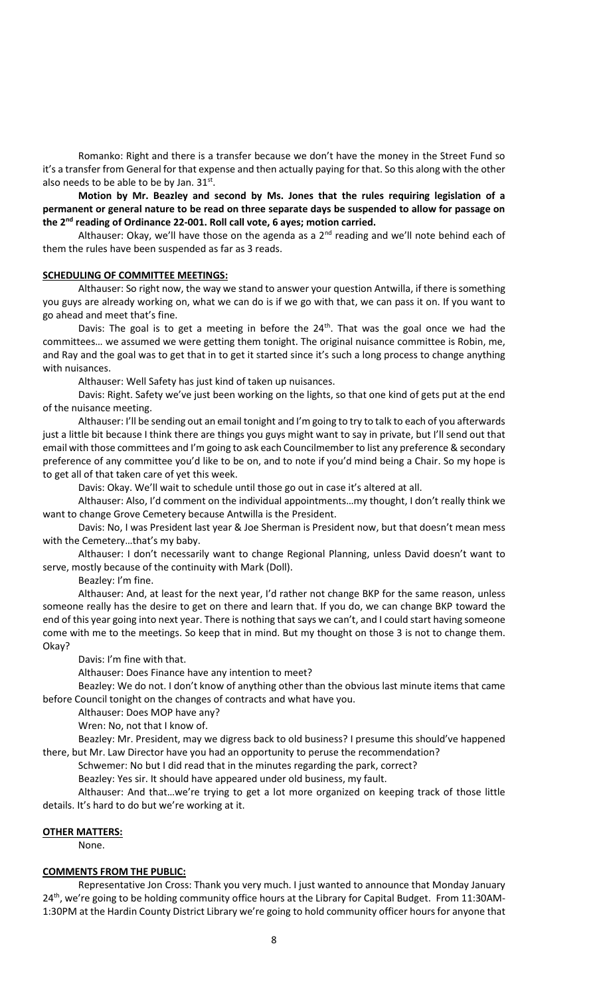Romanko: Right and there is a transfer because we don't have the money in the Street Fund so it's a transfer from General for that expense and then actually paying for that. So this along with the other also needs to be able to be by Jan.  $31^{st}$ .

**Motion by Mr. Beazley and second by Ms. Jones that the rules requiring legislation of a permanent or general nature to be read on three separate days be suspended to allow for passage on the 2nd reading of Ordinance 22-001. Roll call vote, 6 ayes; motion carried.**

Althauser: Okay, we'll have those on the agenda as a  $2<sup>nd</sup>$  reading and we'll note behind each of them the rules have been suspended as far as 3 reads.

### **SCHEDULING OF COMMITTEE MEETINGS:**

Althauser: So right now, the way we stand to answer your question Antwilla, if there is something you guys are already working on, what we can do is if we go with that, we can pass it on. If you want to go ahead and meet that's fine.

Davis: The goal is to get a meeting in before the  $24<sup>th</sup>$ . That was the goal once we had the committees… we assumed we were getting them tonight. The original nuisance committee is Robin, me, and Ray and the goal was to get that in to get it started since it's such a long process to change anything with nuisances.

Althauser: Well Safety has just kind of taken up nuisances.

Davis: Right. Safety we've just been working on the lights, so that one kind of gets put at the end of the nuisance meeting.

Althauser: I'll be sending out an email tonight and I'm going to try to talk to each of you afterwards just a little bit because I think there are things you guys might want to say in private, but I'll send out that email with those committees and I'm going to ask each Councilmember to list any preference & secondary preference of any committee you'd like to be on, and to note if you'd mind being a Chair. So my hope is to get all of that taken care of yet this week.

Davis: Okay. We'll wait to schedule until those go out in case it's altered at all.

Althauser: Also, I'd comment on the individual appointments…my thought, I don't really think we want to change Grove Cemetery because Antwilla is the President.

Davis: No, I was President last year & Joe Sherman is President now, but that doesn't mean mess with the Cemetery…that's my baby.

Althauser: I don't necessarily want to change Regional Planning, unless David doesn't want to serve, mostly because of the continuity with Mark (Doll).

Beazley: I'm fine.

Althauser: And, at least for the next year, I'd rather not change BKP for the same reason, unless someone really has the desire to get on there and learn that. If you do, we can change BKP toward the end of this year going into next year. There is nothing that says we can't, and I could start having someone come with me to the meetings. So keep that in mind. But my thought on those 3 is not to change them. Okay?

Davis: I'm fine with that.

Althauser: Does Finance have any intention to meet?

Beazley: We do not. I don't know of anything other than the obvious last minute items that came before Council tonight on the changes of contracts and what have you.

Althauser: Does MOP have any?

Wren: No, not that I know of.

Beazley: Mr. President, may we digress back to old business? I presume this should've happened there, but Mr. Law Director have you had an opportunity to peruse the recommendation?

Schwemer: No but I did read that in the minutes regarding the park, correct?

Beazley: Yes sir. It should have appeared under old business, my fault.

Althauser: And that…we're trying to get a lot more organized on keeping track of those little details. It's hard to do but we're working at it.

#### **OTHER MATTERS:**

None.

#### **COMMENTS FROM THE PUBLIC:**

Representative Jon Cross: Thank you very much. I just wanted to announce that Monday January 24<sup>th</sup>, we're going to be holding community office hours at the Library for Capital Budget. From 11:30AM-1:30PM at the Hardin County District Library we're going to hold community officer hours for anyone that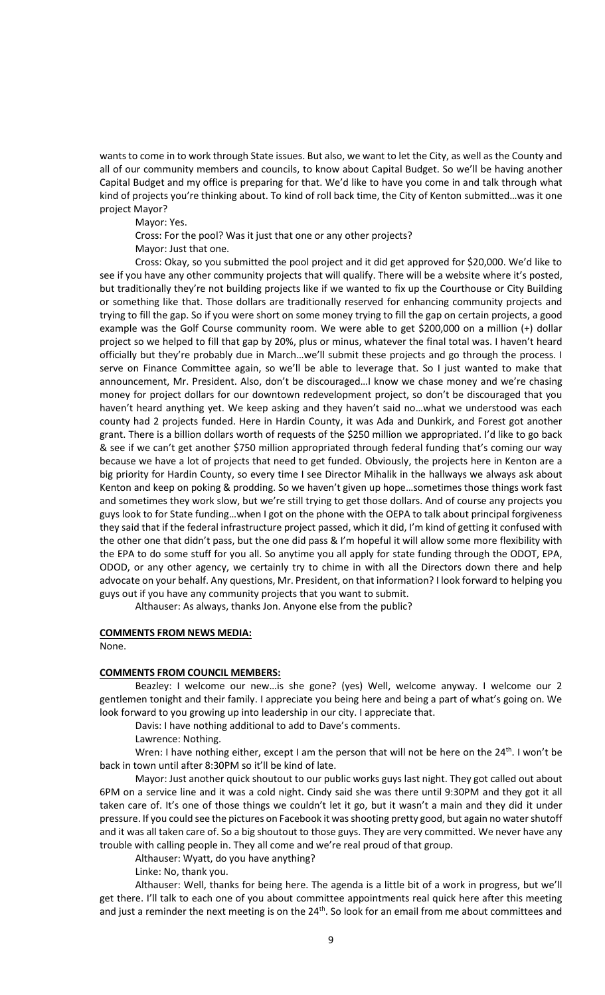wants to come in to work through State issues. But also, we want to let the City, as well as the County and all of our community members and councils, to know about Capital Budget. So we'll be having another Capital Budget and my office is preparing for that. We'd like to have you come in and talk through what kind of projects you're thinking about. To kind of roll back time, the City of Kenton submitted…was it one project Mayor?

Mayor: Yes.

Cross: For the pool? Was it just that one or any other projects?

Mayor: Just that one.

Cross: Okay, so you submitted the pool project and it did get approved for \$20,000. We'd like to see if you have any other community projects that will qualify. There will be a website where it's posted, but traditionally they're not building projects like if we wanted to fix up the Courthouse or City Building or something like that. Those dollars are traditionally reserved for enhancing community projects and trying to fill the gap. So if you were short on some money trying to fill the gap on certain projects, a good example was the Golf Course community room. We were able to get \$200,000 on a million (+) dollar project so we helped to fill that gap by 20%, plus or minus, whatever the final total was. I haven't heard officially but they're probably due in March…we'll submit these projects and go through the process. I serve on Finance Committee again, so we'll be able to leverage that. So I just wanted to make that announcement, Mr. President. Also, don't be discouraged…I know we chase money and we're chasing money for project dollars for our downtown redevelopment project, so don't be discouraged that you haven't heard anything yet. We keep asking and they haven't said no…what we understood was each county had 2 projects funded. Here in Hardin County, it was Ada and Dunkirk, and Forest got another grant. There is a billion dollars worth of requests of the \$250 million we appropriated. I'd like to go back & see if we can't get another \$750 million appropriated through federal funding that's coming our way because we have a lot of projects that need to get funded. Obviously, the projects here in Kenton are a big priority for Hardin County, so every time I see Director Mihalik in the hallways we always ask about Kenton and keep on poking & prodding. So we haven't given up hope…sometimes those things work fast and sometimes they work slow, but we're still trying to get those dollars. And of course any projects you guys look to for State funding…when I got on the phone with the OEPA to talk about principal forgiveness they said that if the federal infrastructure project passed, which it did, I'm kind of getting it confused with the other one that didn't pass, but the one did pass & I'm hopeful it will allow some more flexibility with the EPA to do some stuff for you all. So anytime you all apply for state funding through the ODOT, EPA, ODOD, or any other agency, we certainly try to chime in with all the Directors down there and help advocate on your behalf. Any questions, Mr. President, on that information? I look forward to helping you guys out if you have any community projects that you want to submit.

Althauser: As always, thanks Jon. Anyone else from the public?

### **COMMENTS FROM NEWS MEDIA:**

None.

#### **COMMENTS FROM COUNCIL MEMBERS:**

Beazley: I welcome our new…is she gone? (yes) Well, welcome anyway. I welcome our 2 gentlemen tonight and their family. I appreciate you being here and being a part of what's going on. We look forward to you growing up into leadership in our city. I appreciate that.

Davis: I have nothing additional to add to Dave's comments.

Lawrence: Nothing.

Wren: I have nothing either, except I am the person that will not be here on the  $24<sup>th</sup>$ . I won't be back in town until after 8:30PM so it'll be kind of late.

Mayor: Just another quick shoutout to our public works guys last night. They got called out about 6PM on a service line and it was a cold night. Cindy said she was there until 9:30PM and they got it all taken care of. It's one of those things we couldn't let it go, but it wasn't a main and they did it under pressure. If you could see the pictures on Facebook it was shooting pretty good, but again no water shutoff and it was all taken care of. So a big shoutout to those guys. They are very committed. We never have any trouble with calling people in. They all come and we're real proud of that group.

Althauser: Wyatt, do you have anything?

Linke: No, thank you.

Althauser: Well, thanks for being here. The agenda is a little bit of a work in progress, but we'll get there. I'll talk to each one of you about committee appointments real quick here after this meeting and just a reminder the next meeting is on the  $24<sup>th</sup>$ . So look for an email from me about committees and